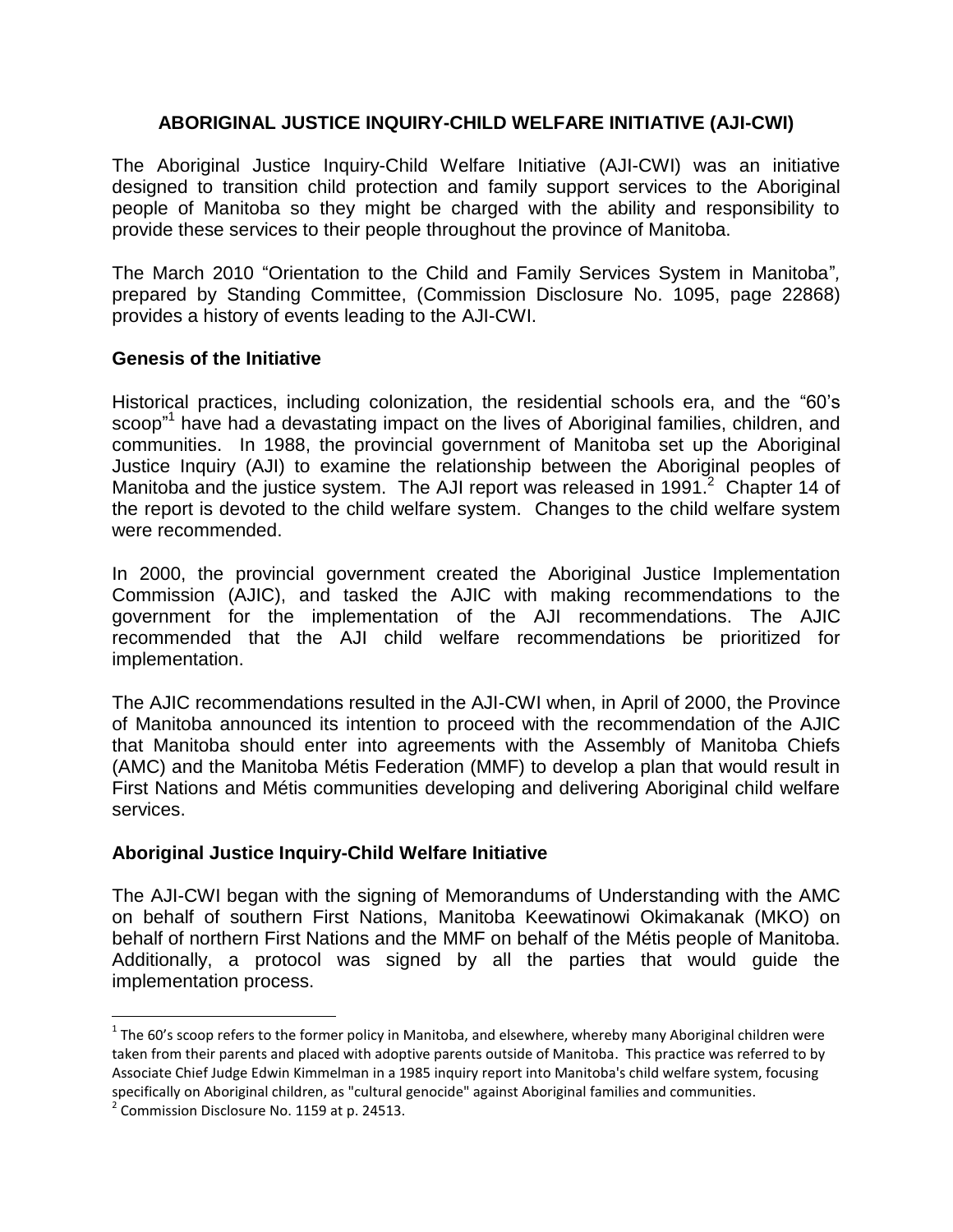# **ABORIGINAL JUSTICE INQUIRY-CHILD WELFARE INITIATIVE (AJI-CWI)**

The Aboriginal Justice Inquiry-Child Welfare Initiative (AJI-CWI) was an initiative designed to transition child protection and family support services to the Aboriginal people of Manitoba so they might be charged with the ability and responsibility to provide these services to their people throughout the province of Manitoba.

The March 2010 "Orientation to the Child and Family Services System in Manitoba"*,*  prepared by Standing Committee, (Commission Disclosure No. 1095, page 22868) provides a history of events leading to the AJI-CWI.

# **Genesis of the Initiative**

Historical practices, including colonization, the residential schools era, and the "60's scoop<sup>"1</sup> have had a devastating impact on the lives of Aboriginal families, children, and communities. In 1988, the provincial government of Manitoba set up the Aboriginal Justice Inquiry (AJI) to examine the relationship between the Aboriginal peoples of Manitoba and the justice system. The AJI report was released in 1991.<sup>2</sup> Chapter 14 of the report is devoted to the child welfare system. Changes to the child welfare system were recommended.

In 2000, the provincial government created the Aboriginal Justice Implementation Commission (AJIC), and tasked the AJIC with making recommendations to the government for the implementation of the AJI recommendations. The AJIC recommended that the AJI child welfare recommendations be prioritized for implementation.

The AJIC recommendations resulted in the AJI-CWI when, in April of 2000, the Province of Manitoba announced its intention to proceed with the recommendation of the AJIC that Manitoba should enter into agreements with the Assembly of Manitoba Chiefs (AMC) and the Manitoba Métis Federation (MMF) to develop a plan that would result in First Nations and Métis communities developing and delivering Aboriginal child welfare services.

# **Aboriginal Justice Inquiry-Child Welfare Initiative**

The AJI-CWI began with the signing of Memorandums of Understanding with the AMC on behalf of southern First Nations, Manitoba Keewatinowi Okimakanak (MKO) on behalf of northern First Nations and the MMF on behalf of the Métis people of Manitoba. Additionally, a protocol was signed by all the parties that would guide the implementation process.

l

 $1$  The 60's scoop refers to the former policy in Manitoba, and elsewhere, whereby many Aboriginal children were taken from their parents and placed with adoptive parents outside of Manitoba. This practice was referred to by Associate Chief Judge Edwin Kimmelman in a 1985 inquiry report into Manitoba's child welfare system, focusing specifically on Aboriginal children, as "cultural genocide" against Aboriginal families and communities.

 $2$  Commission Disclosure No. 1159 at p. 24513.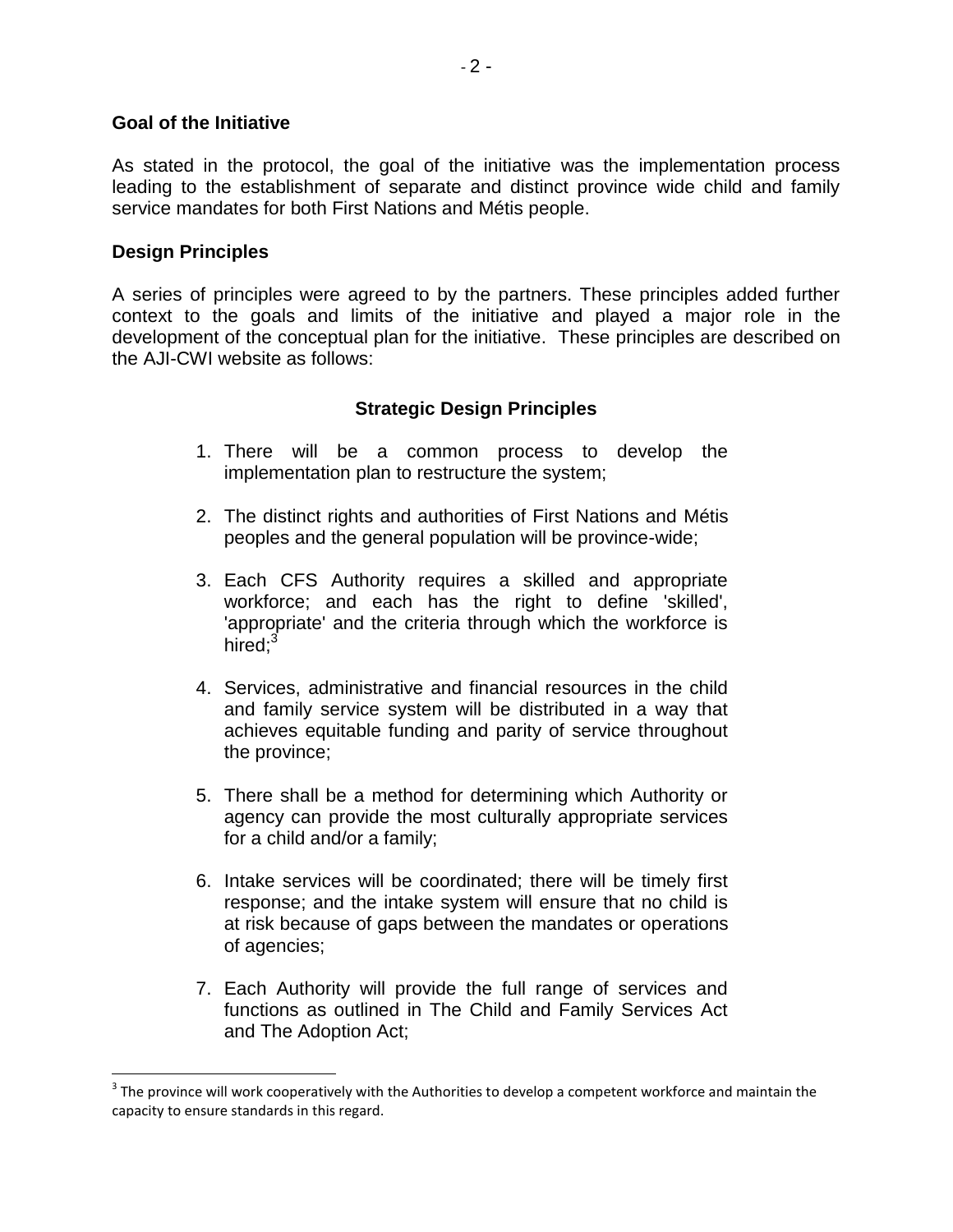### **Goal of the Initiative**

As stated in the protocol, the goal of the initiative was the implementation process leading to the establishment of separate and distinct province wide child and family service mandates for both First Nations and Métis people.

## **Design Principles**

l

A series of principles were agreed to by the partners. These principles added further context to the goals and limits of the initiative and played a major role in the development of the conceptual plan for the initiative. These principles are described on the AJI-CWI website as follows:

# **Strategic Design Principles**

- 1. There will be a common process to develop the implementation plan to restructure the system;
- 2. The distinct rights and authorities of First Nations and Métis peoples and the general population will be province-wide;
- 3. Each CFS Authority requires a skilled and appropriate workforce; and each has the right to define 'skilled', 'appropriate' and the criteria through which the workforce is hired $\cdot^3$
- 4. Services, administrative and financial resources in the child and family service system will be distributed in a way that achieves equitable funding and parity of service throughout the province;
- 5. There shall be a method for determining which Authority or agency can provide the most culturally appropriate services for a child and/or a family;
- 6. Intake services will be coordinated; there will be timely first response; and the intake system will ensure that no child is at risk because of gaps between the mandates or operations of agencies;
- 7. Each Authority will provide the full range of services and functions as outlined in The Child and Family Services Act and The Adoption Act;

 $3$  The province will work cooperatively with the Authorities to develop a competent workforce and maintain the capacity to ensure standards in this regard.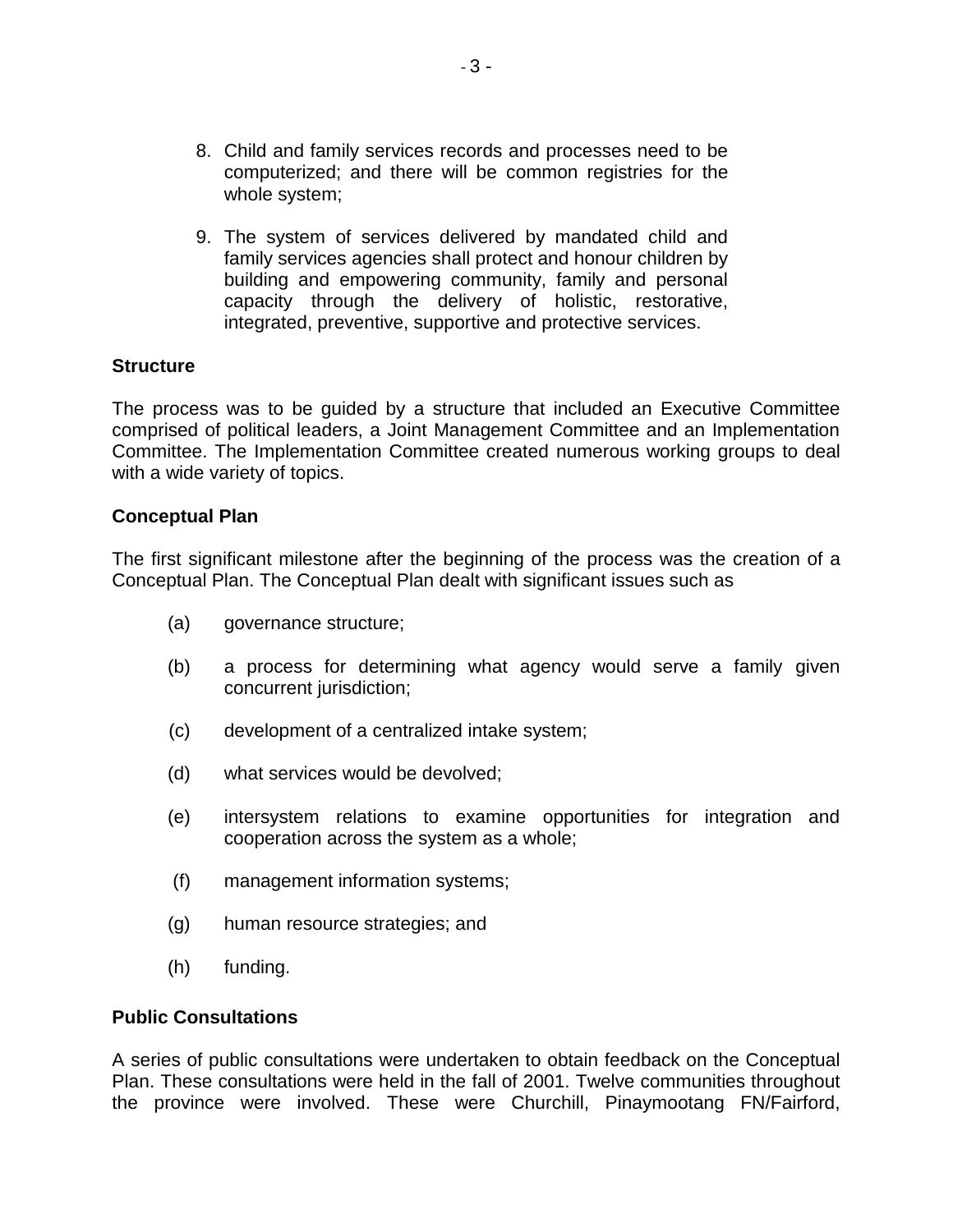- 8. Child and family services records and processes need to be computerized; and there will be common registries for the whole system;
- 9. The system of services delivered by mandated child and family services agencies shall protect and honour children by building and empowering community, family and personal capacity through the delivery of holistic, restorative, integrated, preventive, supportive and protective services.

### **Structure**

The process was to be guided by a structure that included an Executive Committee comprised of political leaders, a Joint Management Committee and an Implementation Committee. The Implementation Committee created numerous working groups to deal with a wide variety of topics.

#### **Conceptual Plan**

The first significant milestone after the beginning of the process was the creation of a Conceptual Plan. The Conceptual Plan dealt with significant issues such as

- (a) governance structure;
- (b) a process for determining what agency would serve a family given concurrent jurisdiction;
- (c) development of a centralized intake system;
- (d) what services would be devolved;
- (e) intersystem relations to examine opportunities for integration and cooperation across the system as a whole;
- (f) management information systems;
- (g) human resource strategies; and
- (h) funding.

#### **Public Consultations**

A series of public consultations were undertaken to obtain feedback on the Conceptual Plan. These consultations were held in the fall of 2001. Twelve communities throughout the province were involved. These were Churchill, Pinaymootang FN/Fairford,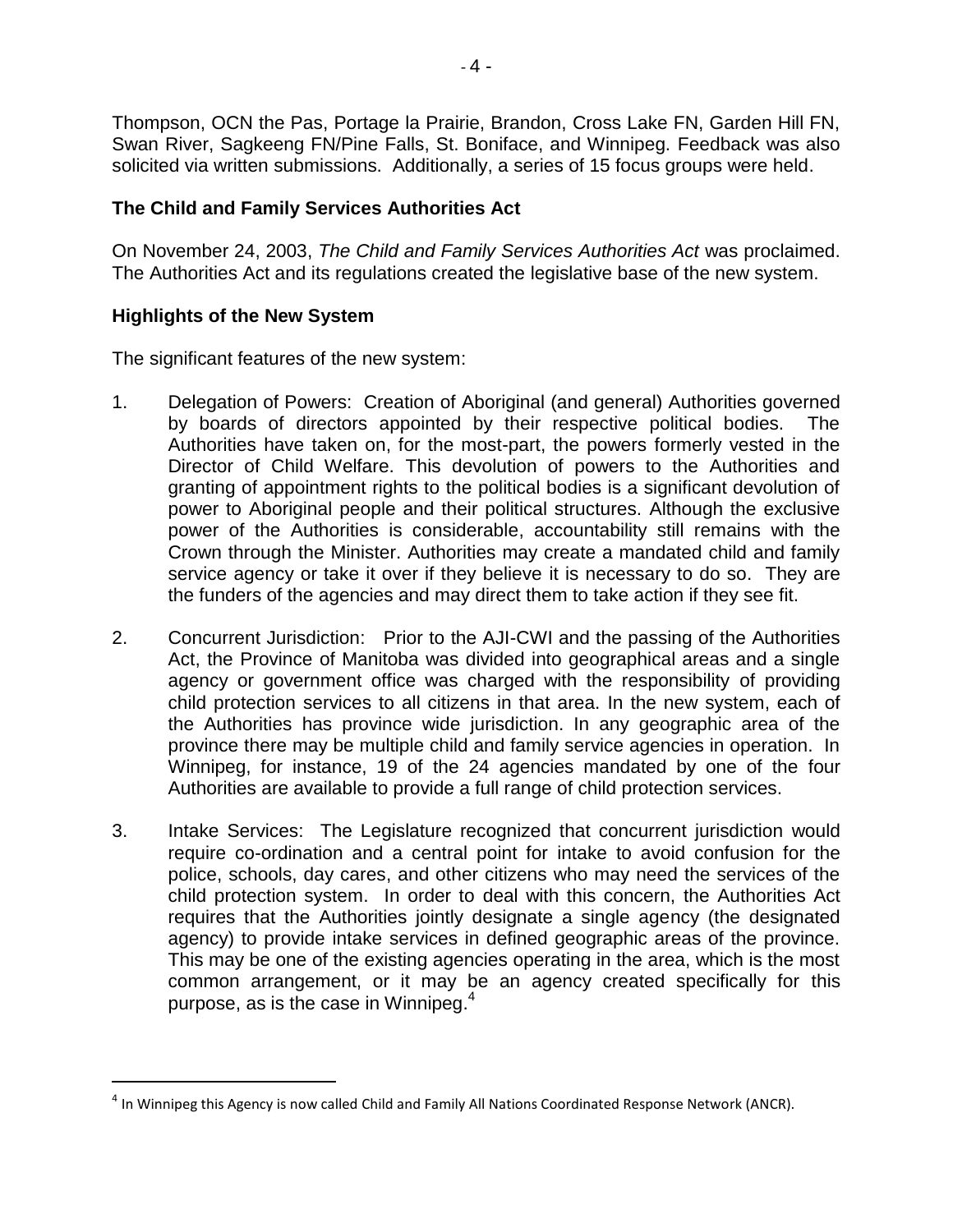Thompson, OCN the Pas, Portage la Prairie, Brandon, Cross Lake FN, Garden Hill FN, Swan River, Sagkeeng FN/Pine Falls, St. Boniface, and Winnipeg. Feedback was also solicited via written submissions. Additionally, a series of 15 focus groups were held.

# **The Child and Family Services Authorities Act**

On November 24, 2003, *The Child and Family Services Authorities Act* was proclaimed. The Authorities Act and its regulations created the legislative base of the new system.

# **Highlights of the New System**

 $\overline{a}$ 

The significant features of the new system:

- 1. Delegation of Powers: Creation of Aboriginal (and general) Authorities governed by boards of directors appointed by their respective political bodies. The Authorities have taken on, for the most-part, the powers formerly vested in the Director of Child Welfare. This devolution of powers to the Authorities and granting of appointment rights to the political bodies is a significant devolution of power to Aboriginal people and their political structures. Although the exclusive power of the Authorities is considerable, accountability still remains with the Crown through the Minister. Authorities may create a mandated child and family service agency or take it over if they believe it is necessary to do so. They are the funders of the agencies and may direct them to take action if they see fit.
- 2. Concurrent Jurisdiction: Prior to the AJI-CWI and the passing of the Authorities Act, the Province of Manitoba was divided into geographical areas and a single agency or government office was charged with the responsibility of providing child protection services to all citizens in that area. In the new system, each of the Authorities has province wide jurisdiction. In any geographic area of the province there may be multiple child and family service agencies in operation. In Winnipeg, for instance, 19 of the 24 agencies mandated by one of the four Authorities are available to provide a full range of child protection services.
- 3. Intake Services: The Legislature recognized that concurrent jurisdiction would require co-ordination and a central point for intake to avoid confusion for the police, schools, day cares, and other citizens who may need the services of the child protection system. In order to deal with this concern, the Authorities Act requires that the Authorities jointly designate a single agency (the designated agency) to provide intake services in defined geographic areas of the province. This may be one of the existing agencies operating in the area, which is the most common arrangement, or it may be an agency created specifically for this purpose, as is the case in Winnipeg. 4

<sup>&</sup>lt;sup>4</sup> In Winnipeg this Agency is now called Child and Family All Nations Coordinated Response Network (ANCR).